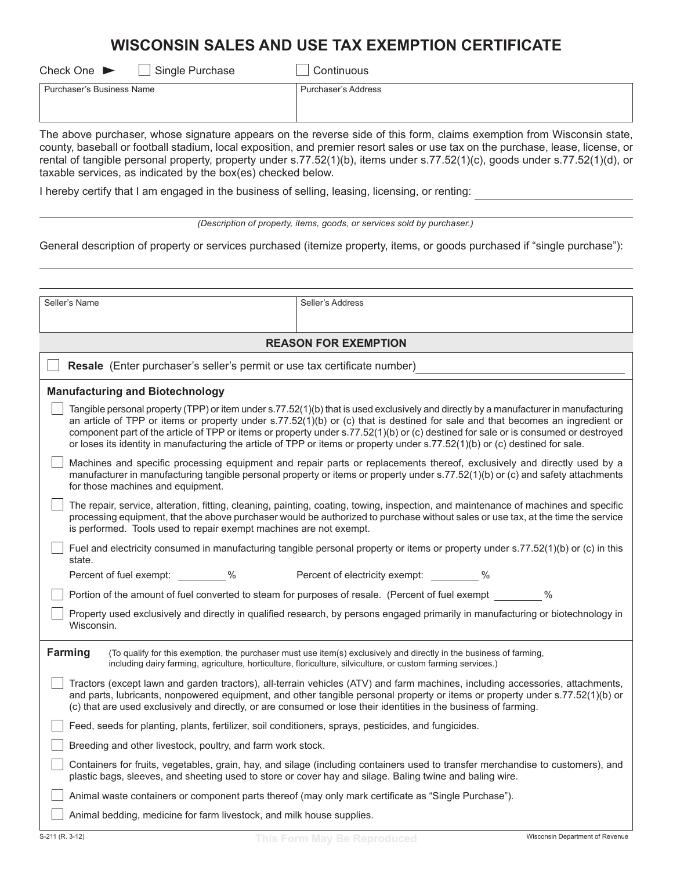## **WISCONSIN SALES AND USE TAX EXEMPTION CERTIFICATE**

| $\Box$ Single Purchase<br>Check One $\blacktriangleright$ | Continuous          |
|-----------------------------------------------------------|---------------------|
| Purchaser's Business Name                                 | Purchaser's Address |
|                                                           |                     |

The above purchaser, whose signature appears on the reverse side of this form, claims exemption from Wisconsin state, county, baseball or football stadium, local exposition, and premier resort sales or use tax on the purchase, lease, license, or rental of tangible personal property, property under s.77.52(1)(b), items under s.77.52(1)(c), goods under s.77.52(1)(d), or taxable services, as indicated by the box(es) checked below.

,KHUHE\FHUWLI\WKDW,DPHQJDJHGLQWKHEXVLQHVVRIVHOOLQJOHDVLQJOLFHQVLQJRUUHQWLQJ

| (Description of property, items, goods, or services sold by purchaser.) |  |  |  |
|-------------------------------------------------------------------------|--|--|--|
|                                                                         |  |  |  |

General description of property or services purchased (itemize property, items, or goods purchased if "single purchase"):

| Seller's Name                                                                                            | Seller's Address                                                                                                                                                                                                                                                                                                                                                                                                                                                                                                                             |  |
|----------------------------------------------------------------------------------------------------------|----------------------------------------------------------------------------------------------------------------------------------------------------------------------------------------------------------------------------------------------------------------------------------------------------------------------------------------------------------------------------------------------------------------------------------------------------------------------------------------------------------------------------------------------|--|
|                                                                                                          |                                                                                                                                                                                                                                                                                                                                                                                                                                                                                                                                              |  |
|                                                                                                          | <b>REASON FOR EXEMPTION</b>                                                                                                                                                                                                                                                                                                                                                                                                                                                                                                                  |  |
| Resale (Enter purchaser's seller's permit or use tax certificate number)                                 |                                                                                                                                                                                                                                                                                                                                                                                                                                                                                                                                              |  |
| <b>Manufacturing and Biotechnology</b>                                                                   |                                                                                                                                                                                                                                                                                                                                                                                                                                                                                                                                              |  |
|                                                                                                          | Tangible personal property (TPP) or item under s.77.52(1)(b) that is used exclusively and directly by a manufacturer in manufacturing<br>an article of TPP or items or property under s.77.52(1)(b) or (c) that is destined for sale and that becomes an ingredient or<br>component part of the article of TPP or items or property under s.77.52(1)(b) or (c) destined for sale or is consumed or destroyed<br>or loses its identity in manufacturing the article of TPP or items or property under s.77.52(1)(b) or (c) destined for sale. |  |
| for those machines and equipment.                                                                        | Machines and specific processing equipment and repair parts or replacements thereof, exclusively and directly used by a<br>manufacturer in manufacturing tangible personal property or items or property under s.77.52(1)(b) or (c) and safety attachments                                                                                                                                                                                                                                                                                   |  |
| is performed. Tools used to repair exempt machines are not exempt.                                       | The repair, service, alteration, fitting, cleaning, painting, coating, towing, inspection, and maintenance of machines and specific<br>processing equipment, that the above purchaser would be authorized to purchase without sales or use tax, at the time the service                                                                                                                                                                                                                                                                      |  |
| state.                                                                                                   | Fuel and electricity consumed in manufacturing tangible personal property or items or property under s.77.52(1)(b) or (c) in this                                                                                                                                                                                                                                                                                                                                                                                                            |  |
| Percent of fuel exempt: 46                                                                               | Percent of electricity exempt: 46                                                                                                                                                                                                                                                                                                                                                                                                                                                                                                            |  |
|                                                                                                          | Portion of the amount of fuel converted to steam for purposes of resale. (Percent of fuel exempt<br>$\%$                                                                                                                                                                                                                                                                                                                                                                                                                                     |  |
| Wisconsin.                                                                                               | Property used exclusively and directly in qualified research, by persons engaged primarily in manufacturing or biotechnology in                                                                                                                                                                                                                                                                                                                                                                                                              |  |
| <b>Farming</b>                                                                                           | (To qualify for this exemption, the purchaser must use item(s) exclusively and directly in the business of farming,<br>including dairy farming, agriculture, horticulture, floriculture, silviculture, or custom farming services.)                                                                                                                                                                                                                                                                                                          |  |
|                                                                                                          | Tractors (except lawn and garden tractors), all-terrain vehicles (ATV) and farm machines, including accessories, attachments,<br>and parts, lubricants, nonpowered equipment, and other tangible personal property or items or property under s.77.52(1)(b) or<br>(c) that are used exclusively and directly, or are consumed or lose their identities in the business of farming.                                                                                                                                                           |  |
| Feed, seeds for planting, plants, fertilizer, soil conditioners, sprays, pesticides, and fungicides.     |                                                                                                                                                                                                                                                                                                                                                                                                                                                                                                                                              |  |
| Breeding and other livestock, poultry, and farm work stock.                                              |                                                                                                                                                                                                                                                                                                                                                                                                                                                                                                                                              |  |
| plastic bags, sleeves, and sheeting used to store or cover hay and silage. Baling twine and baling wire. | Containers for fruits, vegetables, grain, hay, and silage (including containers used to transfer merchandise to customers), and                                                                                                                                                                                                                                                                                                                                                                                                              |  |
| Animal waste containers or component parts thereof (may only mark certificate as "Single Purchase").     |                                                                                                                                                                                                                                                                                                                                                                                                                                                                                                                                              |  |
| Animal bedding, medicine for farm livestock, and milk house supplies.                                    |                                                                                                                                                                                                                                                                                                                                                                                                                                                                                                                                              |  |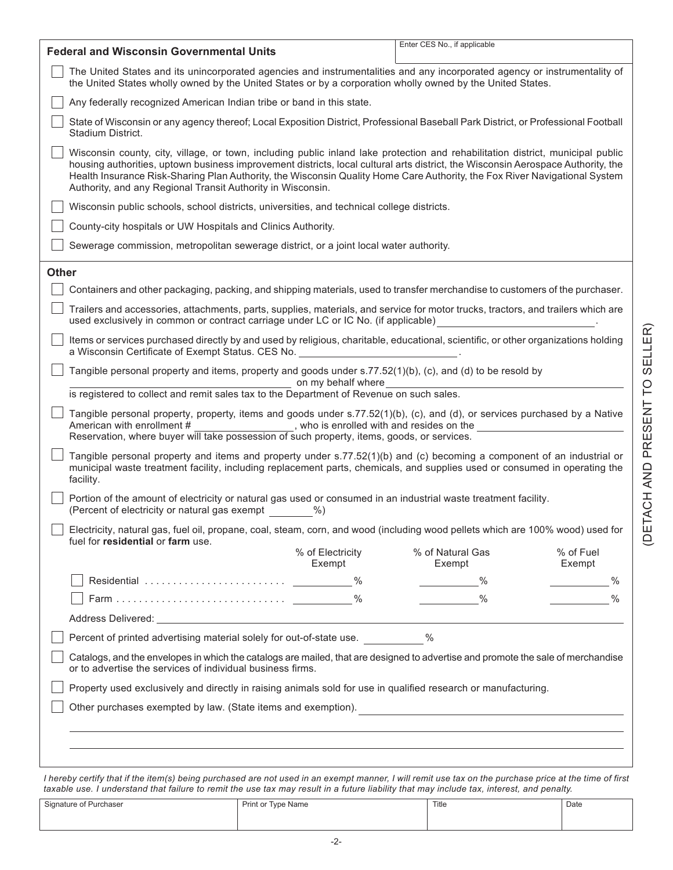| <b>Federal and Wisconsin Governmental Units</b>                                                                                                                                                                                                                                                                                                                                                                                                                  | Enter CES No., if applicable                      |  |  |
|------------------------------------------------------------------------------------------------------------------------------------------------------------------------------------------------------------------------------------------------------------------------------------------------------------------------------------------------------------------------------------------------------------------------------------------------------------------|---------------------------------------------------|--|--|
| The United States and its unincorporated agencies and instrumentalities and any incorporated agency or instrumentality of<br>the United States wholly owned by the United States or by a corporation wholly owned by the United States.                                                                                                                                                                                                                          |                                                   |  |  |
| Any federally recognized American Indian tribe or band in this state.                                                                                                                                                                                                                                                                                                                                                                                            |                                                   |  |  |
| State of Wisconsin or any agency thereof; Local Exposition District, Professional Baseball Park District, or Professional Football<br>Stadium District.                                                                                                                                                                                                                                                                                                          |                                                   |  |  |
| Wisconsin county, city, village, or town, including public inland lake protection and rehabilitation district, municipal public<br>housing authorities, uptown business improvement districts, local cultural arts district, the Wisconsin Aerospace Authority, the<br>Health Insurance Risk-Sharing Plan Authority, the Wisconsin Quality Home Care Authority, the Fox River Navigational System<br>Authority, and any Regional Transit Authority in Wisconsin. |                                                   |  |  |
| Wisconsin public schools, school districts, universities, and technical college districts.                                                                                                                                                                                                                                                                                                                                                                       |                                                   |  |  |
| County-city hospitals or UW Hospitals and Clinics Authority.                                                                                                                                                                                                                                                                                                                                                                                                     |                                                   |  |  |
| Sewerage commission, metropolitan sewerage district, or a joint local water authority.                                                                                                                                                                                                                                                                                                                                                                           |                                                   |  |  |
| <b>Other</b>                                                                                                                                                                                                                                                                                                                                                                                                                                                     |                                                   |  |  |
| Containers and other packaging, packing, and shipping materials, used to transfer merchandise to customers of the purchaser.                                                                                                                                                                                                                                                                                                                                     |                                                   |  |  |
| Trailers and accessories, attachments, parts, supplies, materials, and service for motor trucks, tractors, and trailers which are<br>used exclusively in common or contract carriage under LC or IC No. (if applicable)                                                                                                                                                                                                                                          |                                                   |  |  |
| Items or services purchased directly by and used by religious, charitable, educational, scientific, or other organizations holding<br>a Wisconsin Certificate of Exempt Status. CES No.                                                                                                                                                                                                                                                                          |                                                   |  |  |
| Tangible personal property and items, property and goods under s.77.52(1)(b), (c), and (d) to be resold by<br>on my behalf where                                                                                                                                                                                                                                                                                                                                 |                                                   |  |  |
| is registered to collect and remit sales tax to the Department of Revenue on such sales.                                                                                                                                                                                                                                                                                                                                                                         |                                                   |  |  |
| Tangible personal property, property, items and goods under s.77.52(1)(b), (c), and (d), or services purchased by a Native<br>American with enrollment # ___________________, who is enrolled with and resides on the<br>Reservation, where buyer will take possession of such property, items, goods, or services.                                                                                                                                              |                                                   |  |  |
| Tangible personal property and items and property under s.77.52(1)(b) and (c) becoming a component of an industrial or<br>municipal waste treatment facility, including replacement parts, chemicals, and supplies used or consumed in operating the<br>facility.                                                                                                                                                                                                |                                                   |  |  |
| Portion of the amount of electricity or natural gas used or consumed in an industrial waste treatment facility.<br>(Percent of electricity or natural gas exempt<br>$\%$ )                                                                                                                                                                                                                                                                                       |                                                   |  |  |
| Electricity, natural gas, fuel oil, propane, coal, steam, corn, and wood (including wood pellets which are 100% wood) used for<br>fuel for residential or farm use.                                                                                                                                                                                                                                                                                              |                                                   |  |  |
| % of Electricity<br>Exempt                                                                                                                                                                                                                                                                                                                                                                                                                                       | % of Fuel<br>% of Natural Gas<br>Exempt<br>Exempt |  |  |
|                                                                                                                                                                                                                                                                                                                                                                                                                                                                  | $\%$<br>$\%$                                      |  |  |
|                                                                                                                                                                                                                                                                                                                                                                                                                                                                  | $\frac{0}{0}$<br>$\frac{0}{0}$                    |  |  |
|                                                                                                                                                                                                                                                                                                                                                                                                                                                                  |                                                   |  |  |
| Percent of printed advertising material solely for out-of-state use. 48                                                                                                                                                                                                                                                                                                                                                                                          |                                                   |  |  |
| Catalogs, and the envelopes in which the catalogs are mailed, that are designed to advertise and promote the sale of merchandise<br>or to advertise the services of individual business firms.                                                                                                                                                                                                                                                                   |                                                   |  |  |
| Property used exclusively and directly in raising animals sold for use in qualified research or manufacturing.                                                                                                                                                                                                                                                                                                                                                   |                                                   |  |  |
| Other purchases exempted by law. (State items and exemption).                                                                                                                                                                                                                                                                                                                                                                                                    |                                                   |  |  |
|                                                                                                                                                                                                                                                                                                                                                                                                                                                                  |                                                   |  |  |
|                                                                                                                                                                                                                                                                                                                                                                                                                                                                  |                                                   |  |  |
|                                                                                                                                                                                                                                                                                                                                                                                                                                                                  |                                                   |  |  |

*I hereby certify that if the item(s) being purchased are not used in an exempt manner, I will remit use tax on the purchase price at the time of first taxable use. I understand that failure to remit the use tax may result in a future liability that may include tax, interest, and penalty.*

| Signature of Purchaser<br>$\overline{\phantom{0}}$<br>. | Print or Type Name<br>$\sim$ $\sim$ | Title | Date |
|---------------------------------------------------------|-------------------------------------|-------|------|
|                                                         |                                     |       |      |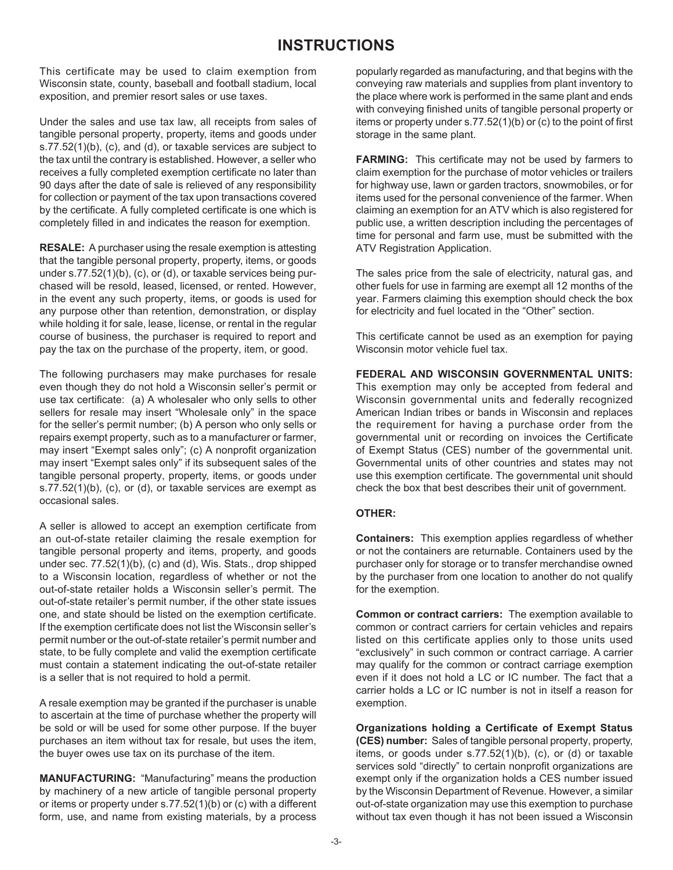## **INSTRUCTIONS**

This certificate may be used to claim exemption from Wisconsin state, county, baseball and football stadium, local exposition, and premier resort sales or use taxes.

Under the sales and use tax law, all receipts from sales of tangible personal property, property, items and goods under  $S.77.52(1)(b)$ , (c), and (d), or taxable services are subject to the tax until the contrary is established. However, a seller who receives a fully completed exemption certificate no later than 90 days after the date of sale is relieved of any responsibility for collection or payment of the tax upon transactions covered by the certificate. A fully completed certificate is one which is completely filled in and indicates the reason for exemption.

**RESALE:** A purchaser using the resale exemption is attesting that the tangible personal property, property, items, or goods under s.77.52(1)(b), (c), or (d), or taxable services being purchased will be resold, leased, licensed, or rented. However, in the event any such property, items, or goods is used for any purpose other than retention, demonstration, or display while holding it for sale, lease, license, or rental in the regular course of business, the purchaser is required to report and pay the tax on the purchase of the property, item, or good.

The following purchasers may make purchases for resale even though they do not hold a Wisconsin seller's permit or use tax certificate: (a) A wholesaler who only sells to other sellers for resale may insert "Wholesale only" in the space for the seller's permit number; (b) A person who only sells or repairs exempt property, such as to a manufacturer or farmer, may insert "Exempt sales only"; (c) A nonprofit organization may insert "Exempt sales only" if its subsequent sales of the tangible personal property, property, items, or goods under  $S.77.52(1)(b)$ , (c), or (d), or taxable services are exempt as occasional sales.

A seller is allowed to accept an exemption certificate from an out-of-state retailer claiming the resale exemption for tangible personal property and items, property, and goods under sec.  $77.52(1)(b)$ , (c) and (d), Wis. Stats., drop shipped to a Wisconsin location, regardless of whether or not the out-of-state retailer holds a Wisconsin seller's permit. The out-of-state retailer's permit number, if the other state issues one, and state should be listed on the exemption certificate. If the exemption certificate does not list the Wisconsin seller's permit number or the out-of-state retailer's permit number and state, to be fully complete and valid the exemption certificate must contain a statement indicating the out-of-state retailer is a seller that is not required to hold a permit.

A resale exemption may be granted if the purchaser is unable to ascertain at the time of purchase whether the property will be sold or will be used for some other purpose. If the buyer purchases an item without tax for resale, but uses the item, the buyer owes use tax on its purchase of the item.

**MANUFACTURING:** "Manufacturing" means the production by machinery of a new article of tangible personal property or items or property under  $s.77.52(1)(b)$  or (c) with a different form, use, and name from existing materials, by a process

popularly regarded as manufacturing, and that begins with the conveying raw materials and supplies from plant inventory to the place where work is performed in the same plant and ends with conveying finished units of tangible personal property or items or property under s.77.52(1)(b) or (c) to the point of first storage in the same plant.

**FARMING:** This certificate may not be used by farmers to claim exemption for the purchase of motor vehicles or trailers for highway use, lawn or garden tractors, snowmobiles, or for items used for the personal convenience of the farmer. When claiming an exemption for an ATV which is also registered for public use, a written description including the percentages of time for personal and farm use, must be submitted with the ATV Registration Application.

The sales price from the sale of electricity, natural gas, and other fuels for use in farming are exempt all 12 months of the year. Farmers claiming this exemption should check the box for electricity and fuel located in the "Other" section.

This certificate cannot be used as an exemption for paying Wisconsin motor vehicle fuel tax.

**FEDERAL AND WISCONSIN GOVERNMENTAL UNITS:** This exemption may only be accepted from federal and Wisconsin governmental units and federally recognized American Indian tribes or bands in Wisconsin and replaces the requirement for having a purchase order from the governmental unit or recording on invoices the Certificate of Exempt Status (CES) number of the governmental unit. Governmental units of other countries and states may not use this exemption certificate. The governmental unit should check the box that best describes their unit of government.

## **OTHER:**

**Containers:** This exemption applies regardless of whether or not the containers are returnable. Containers used by the purchaser only for storage or to transfer merchandise owned by the purchaser from one location to another do not qualify for the exemption.

**Common or contract carriers:** The exemption available to common or contract carriers for certain vehicles and repairs listed on this certificate applies only to those units used "exclusively" in such common or contract carriage. A carrier may qualify for the common or contract carriage exemption even if it does not hold a LC or IC number. The fact that a carrier holds a LC or IC number is not in itself a reason for exemption.

**Organizations holding a Certificate of Exempt Status (CES) number:** Sales of tangible personal property, property, items, or goods under  $s.77.52(1)(b)$ , (c), or (d) or taxable services sold "directly" to certain nonprofit organizations are exempt only if the organization holds a CES number issued by the Wisconsin Department of Revenue. However, a similar out-of-state organization may use this exemption to purchase without tax even though it has not been issued a Wisconsin